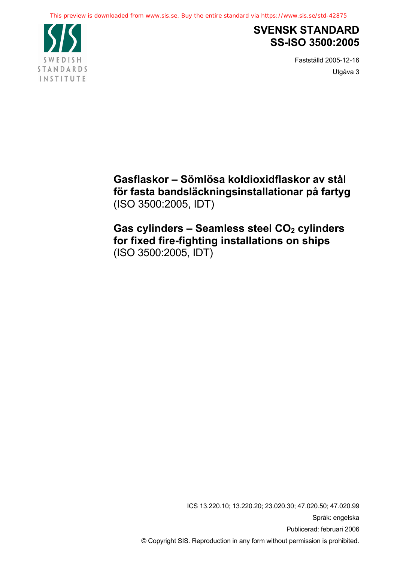

# **SVENSK STANDARD SS-ISO 3500:2005**

Fastställd 2005-12-16 Utgåva 3

**Gasflaskor – Sömlösa koldioxidflaskor av stål för fasta bandsläckningsinstallationar på fartyg**  (ISO 3500:2005, IDT)

Gas cylinders – Seamless steel CO<sub>2</sub> cylinders **for fixed fire-fighting installations on ships**  (ISO 3500:2005, IDT)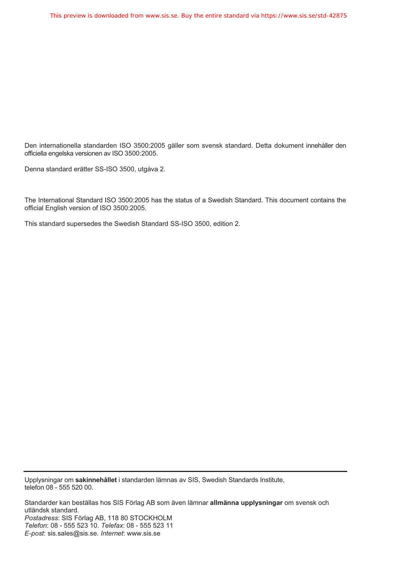Den internationella standarden ISO 3500:2005 gäller som svensk standard. Detta dokument innehåller den officiella engelska versionen av ISO 3500:2005.

Denna standard erätter SS-ISO 3500, utgåva 2.

The International Standard ISO 3500:2005 has the status of a Swedish Standard. This document contains the official English version of ISO 3500:2005.

This standard supersedes the Swedish Standard SS-ISO 3500, edition 2.

Upplysningar om **sakinnehållet** i standarden lämnas av SIS, Swedish Standards Institute, telefon 08 - 555 520 00.

Standarder kan beställas hos SIS Förlag AB som även lämnar **allmänna upplysningar** om svensk och utländsk standard. *Postadress*: SIS Förlag AB, 118 80 STOCKHOLM *Telefon*: 08 - 555 523 10. *Telefax*: 08 - 555 523 11 *E-post*: sis.sales@sis.se. *Internet*: www.sis.se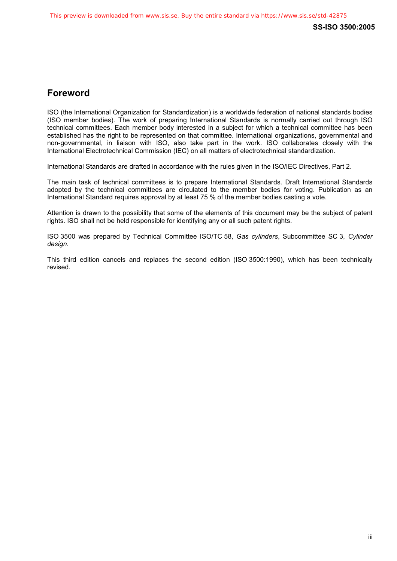# **Foreword**

ISO (the International Organization for Standardization) is a worldwide federation of national standards bodies (ISO member bodies). The work of preparing International Standards is normally carried out through ISO technical committees. Each member body interested in a subject for which a technical committee has been established has the right to be represented on that committee. International organizations, governmental and non-governmental, in liaison with ISO, also take part in the work. ISO collaborates closely with the International Electrotechnical Commission (IEC) on all matters of electrotechnical standardization.

International Standards are drafted in accordance with the rules given in the ISO/IEC Directives, Part 2.

The main task of technical committees is to prepare International Standards. Draft International Standards adopted by the technical committees are circulated to the member bodies for voting. Publication as an International Standard requires approval by at least 75 % of the member bodies casting a vote.

Attention is drawn to the possibility that some of the elements of this document may be the subject of patent rights. ISO shall not be held responsible for identifying any or all such patent rights.

ISO 3500 was prepared by Technical Committee ISO/TC 58, *Gas cylinders*, Subcommittee SC 3, *Cylinder design*.

This third edition cancels and replaces the second edition (ISO 3500:1990), which has been technically revised.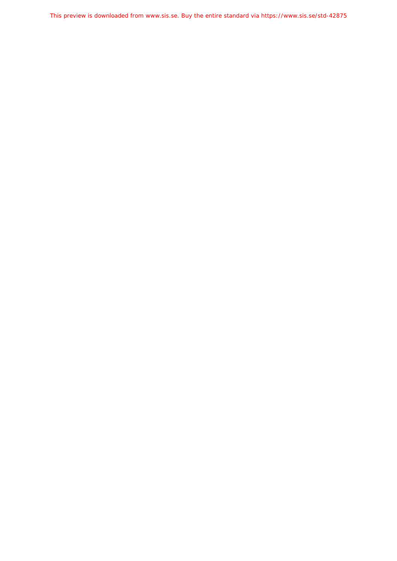This preview is downloaded from www.sis.se. Buy the entire standard via https://www.sis.se/std-42875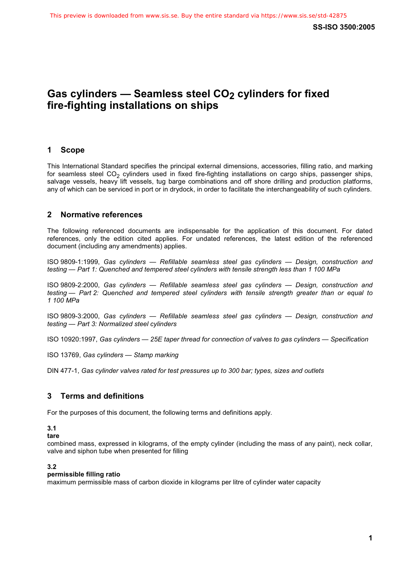# Gas cylinders - Seamless steel CO<sub>2</sub> cylinders for fixed **fire-fighting installations on ships**

# **1 Scope**

This International Standard specifies the principal external dimensions, accessories, filling ratio, and marking for seamless steel  $CO<sub>2</sub>$  cylinders used in fixed fire-fighting installations on cargo ships, passenger ships, salvage vessels, heavy lift vessels, tug barge combinations and off shore drilling and production platforms, any of which can be serviced in port or in drydock, in order to facilitate the interchangeability of such cylinders.

# **2 Normative references**

The following referenced documents are indispensable for the application of this document. For dated references, only the edition cited applies. For undated references, the latest edition of the referenced document (including any amendments) applies.

ISO 9809-1:1999, *Gas cylinders — Refillable seamless steel gas cylinders — Design, construction and testing — Part 1: Quenched and tempered steel cylinders with tensile strength less than 1 100 MPa*

ISO 9809-2:2000, *Gas cylinders — Refillable seamless steel gas cylinders — Design, construction and testing — Part 2: Quenched and tempered steel cylinders with tensile strength greater than or equal to 1 100 MPa*

ISO 9809-3:2000, *Gas cylinders — Refillable seamless steel gas cylinders — Design, construction and testing — Part 3: Normalized steel cylinders*

ISO 10920:1997, *Gas cylinders — 25E taper thread for connection of valves to gas cylinders — Specification*

ISO 13769, *Gas cylinders — Stamp marking*

DIN 477-1, *Gas cylinder valves rated for test pressures up to 300 bar; types, sizes and outlets* 

## **3 Terms and definitions**

For the purposes of this document, the following terms and definitions apply.

## **3.1**

**tare** 

combined mass, expressed in kilograms, of the empty cylinder (including the mass of any paint), neck collar, valve and siphon tube when presented for filling

#### **3.2**

#### **permissible filling ratio**

maximum permissible mass of carbon dioxide in kilograms per litre of cylinder water capacity